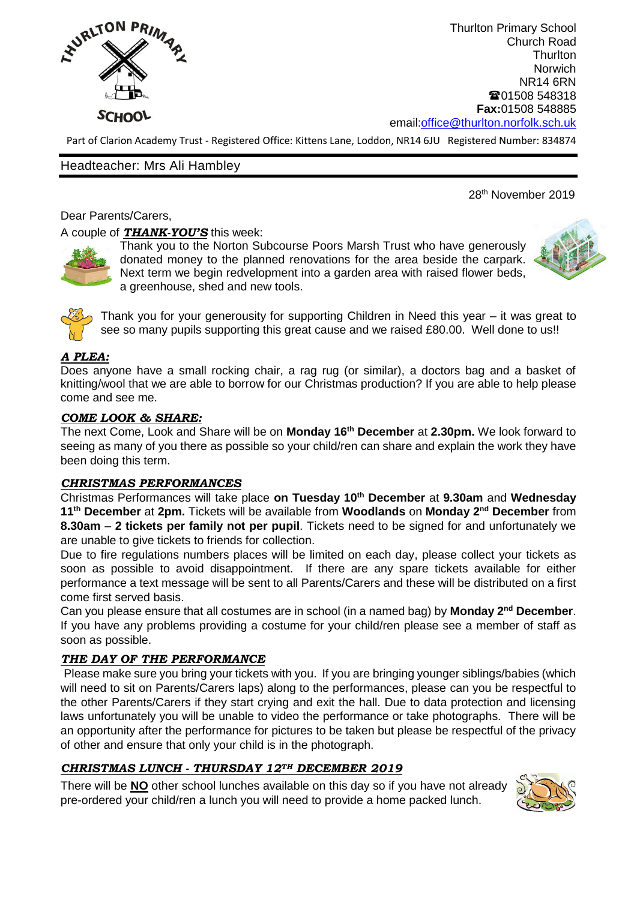

Thurlton Primary School Church Road **Thurlton** Norwich NR14 6RN ■01508 548318 **Fax:**01508 548885 email[:office@thurlton.norfolk.sch.uk](mailto:office@thurlton.norfolk.sch.uk)

Part of Clarion Academy Trust - Registered Office: Kittens Lane, Loddon, NR14 6JU Registered Number: 834874

### Headteacher: Mrs Ali Hambley

# 28<sup>th</sup> November 2019

Dear Parents/Carers,

A couple of *THANK-YOU'S* this week:



Thank you to the Norton Subcourse Poors Marsh Trust who have generously donated money to the planned renovations for the area beside the carpark. Next term we begin redvelopment into a garden area with raised flower beds, a greenhouse, shed and new tools.





Thank you for your generousity for supporting Children in Need this year – it was great to see so many pupils supporting this great cause and we raised £80.00. Well done to us!!

## *A PLEA:*

Does anyone have a small rocking chair, a rag rug (or similar), a doctors bag and a basket of knitting/wool that we are able to borrow for our Christmas production? If you are able to help please come and see me.

## *COME LOOK & SHARE:*

The next Come, Look and Share will be on **Monday 16th December** at **2.30pm.** We look forward to seeing as many of you there as possible so your child/ren can share and explain the work they have been doing this term.

### *CHRISTMAS PERFORMANCES*

Christmas Performances will take place **on Tuesday 10 th December** at **9.30am** and **Wednesday 11 th December** at **2pm.** Tickets will be available from **Woodlands** on **Monday 2nd December** from **8.30am** – **2 tickets per family not per pupil**. Tickets need to be signed for and unfortunately we are unable to give tickets to friends for collection.

Due to fire regulations numbers places will be limited on each day, please collect your tickets as soon as possible to avoid disappointment. If there are any spare tickets available for either performance a text message will be sent to all Parents/Carers and these will be distributed on a first come first served basis.

Can you please ensure that all costumes are in school (in a named bag) by **Monday 2nd December**. If you have any problems providing a costume for your child/ren please see a member of staff as soon as possible.

### *THE DAY OF THE PERFORMANCE*

Please make sure you bring your tickets with you. If you are bringing younger siblings/babies (which will need to sit on Parents/Carers laps) along to the performances, please can you be respectful to the other Parents/Carers if they start crying and exit the hall. Due to data protection and licensing laws unfortunately you will be unable to video the performance or take photographs. There will be an opportunity after the performance for pictures to be taken but please be respectful of the privacy of other and ensure that only your child is in the photograph.

### *CHRISTMAS LUNCH - THURSDAY 12TH DECEMBER 2019*

There will be **NO** other school lunches available on this day so if you have not already pre-ordered your child/ren a lunch you will need to provide a home packed lunch.